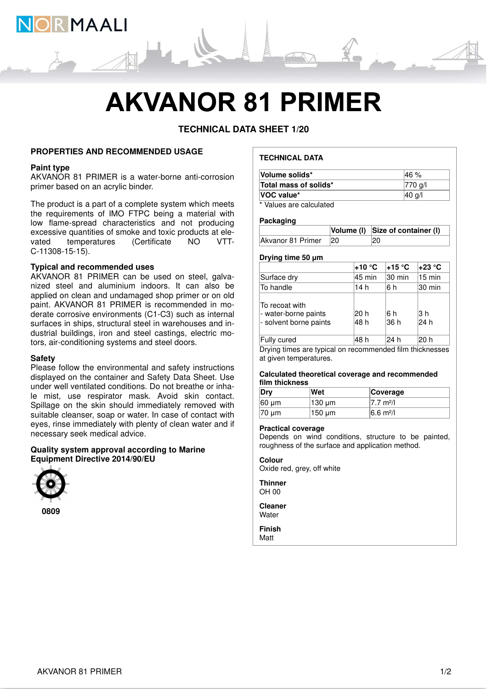

# **AKVANOR 81 PRIMER**

**TECHNICAL DATA SHEET 1/20**

# **PROPERTIES AND RECOMMENDED USAGE**

# **Paint type**

AKVANOR 81 PRIMER is a water-borne anti-corrosion primer based on an acrylic binder.

The product is a part of a complete system which meets the requirements of IMO FTPC being a material with low flame-spread characteristics and not producing excessive quantities of smoke and toxic products at elevated temperatures (Certificate NO VTT-C-11308-15-15).

## **Typical and recommended uses**

AKVANOR 81 PRIMER can be used on steel, galvanized steel and aluminium indoors. It can also be applied on clean and undamaged shop primer or on old paint. AKVANOR 81 PRIMER is recommended in moderate corrosive environments (C1-C3) such as internal surfaces in ships, structural steel in warehouses and industrial buildings, iron and steel castings, electric motors, air-conditioning systems and steel doors.

#### **Safety**

Please follow the environmental and safety instructions displayed on the container and Safety Data Sheet. Use under well ventilated conditions. Do not breathe or inhale mist, use respirator mask. Avoid skin contact. Spillage on the skin should immediately removed with suitable cleanser, soap or water. In case of contact with eyes, rinse immediately with plenty of clean water and if necessary seek medical advice.

# **Quality system approval according to Marine Equipment Directive 2014/90/EU**



# **TECHNICAL DATA**

| Volume solids*                    | l46 %       |
|-----------------------------------|-------------|
| Total mass of solids*             | $ 770 g$ /l |
| VOC value*                        | 40 g/l      |
| <b><i><u><del>.</del></u></i></b> |             |

\* Values are calculated

#### **Packaging**

|                      | Volume (I) Size of container (I) |
|----------------------|----------------------------------|
| Akvanor 81 Primer 20 | 20                               |

# **Drying time 50 μm**

|                                                                  | +10 °C       | 15 °C⊱       | +23 °C           |
|------------------------------------------------------------------|--------------|--------------|------------------|
| Surface dry                                                      | 45 min       | 30 min       | $15 \text{ min}$ |
| To handle                                                        | 14 h         | 6 h          | 30 min           |
| To recoat with<br>- water-borne paints<br>- solvent borne paints | 20 h<br>48 h | 6 h<br> 36 h | l3 h<br>24 h     |
| Fully cured                                                      | 48 h         | 24 h         | 20 h             |

Drying times are typical on recommended film thicknesses at given temperatures.

#### **Calculated theoretical coverage and recommended film thickness**

| Dry         | Wet         | Coverage               |
|-------------|-------------|------------------------|
| $ 60 \mu m$ | $130 \mu m$ | 17.7 m <sup>2</sup> /l |
| $ 70 \mu m$ | 150 µm      | $6.6 \text{ m}^2$ /    |

#### **Practical coverage**

Depends on wind conditions, structure to be painted, roughness of the surface and application method.

# **Colour**

Oxide red, grey, off white

**Thinner** OH 00

**Cleaner Water** 

**Finish**

Matt